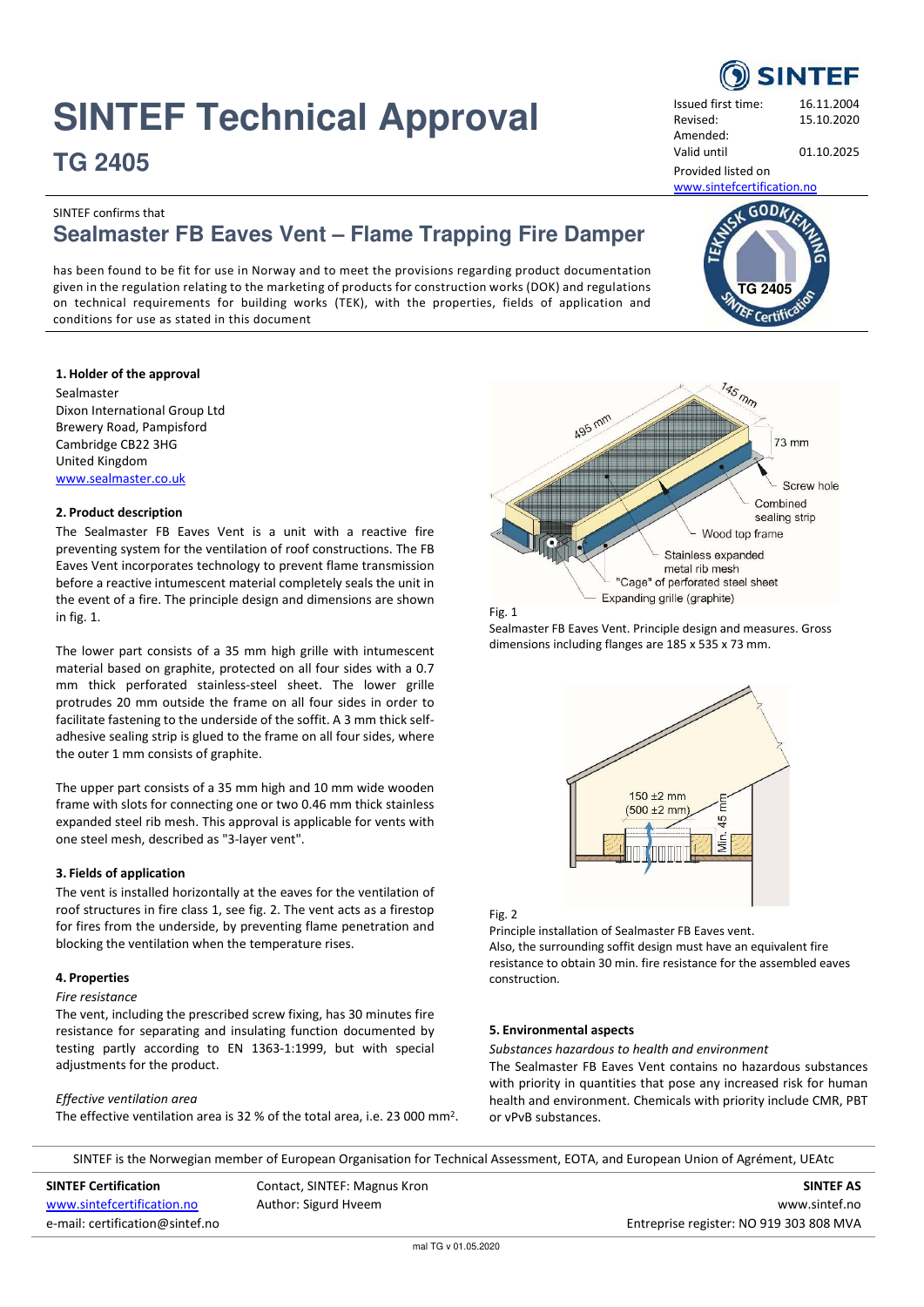# **SINTEF Technical Approval**

**TG 2405**

Issued first time: 16.11.2004 Revised: 15.10.2020 Amended: Valid until 01.10.2025

Provided listed on

[www.sintefcertification.no](http://www.sintefcertification.no/)

 $GODk$ 

**TG 2405**

Certit

# SINTEF confirms that **Sealmaster FB Eaves Vent – Flame Trapping Fire Damper**

has been found to be fit for use in Norway and to meet the provisions regarding product documentation given in the regulation relating to the marketing of products for construction works (DOK) and regulations on technical requirements for building works (TEK), with the properties, fields of application and conditions for use as stated in this document

# **1. Holder of the approval**

Sealmaster Dixon International Group Ltd Brewery Road, Pampisford Cambridge CB22 3HG United Kingdom [www.sealmaster.co.uk](http://www.sealmaster.co.uk/) 

# **2. Product description**

The Sealmaster FB Eaves Vent is a unit with a reactive fire preventing system for the ventilation of roof constructions. The FB Eaves Vent incorporates technology to prevent flame transmission before a reactive intumescent material completely seals the unit in the event of a fire. The principle design and dimensions are shown in fig. 1.

The lower part consists of a 35 mm high grille with intumescent material based on graphite, protected on all four sides with a 0.7 mm thick perforated stainless-steel sheet. The lower grille protrudes 20 mm outside the frame on all four sides in order to facilitate fastening to the underside of the soffit. A 3 mm thick selfadhesive sealing strip is glued to the frame on all four sides, where the outer 1 mm consists of graphite.

The upper part consists of a 35 mm high and 10 mm wide wooden frame with slots for connecting one or two 0.46 mm thick stainless expanded steel rib mesh. This approval is applicable for vents with one steel mesh, described as "3-layer vent".

# **3. Fields of application**

The vent is installed horizontally at the eaves for the ventilation of roof structures in fire class 1, see fig. 2. The vent acts as a firestop for fires from the underside, by preventing flame penetration and blocking the ventilation when the temperature rises.

# **4. Properties**

# *Fire resistance*

The vent, including the prescribed screw fixing, has 30 minutes fire resistance for separating and insulating function documented by testing partly according to EN 1363-1:1999, but with special adjustments for the product.

# *Effective ventilation area*

The effective ventilation area is 32 % of the total area, i.e. 23 000 mm<sup>2</sup>.





Sealmaster FB Eaves Vent. Principle design and measures. Gross dimensions including flanges are 185 x 535 x 73 mm.



# Fig. 2

Principle installation of Sealmaster FB Eaves vent. Also, the surrounding soffit design must have an equivalent fire resistance to obtain 30 min. fire resistance for the assembled eaves construction.

# **5. Environmental aspects**

*Substances hazardous to health and environment*

The Sealmaster FB Eaves Vent contains no hazardous substances with priority in quantities that pose any increased risk for human health and environment. Chemicals with priority include CMR, PBT or vPvB substances.

SINTEF is the Norwegian member of European Organisation for Technical Assessment, EOTA, and European Union of Agrément, UEAtc

**SINTEF Certification SINTEF AS** Contact, SINTEF: Magnus Kron **SINTEF AS** SINTEF AS [www.sintefcertification.no](http://www.sintefcertification.no/) **Author: Sigurd Hveem** and the state of the state of the state of the www.sintef.no e-mail: certification@sintef.no entreprise register: NO 919 303 808 MVA

**SINTEF**